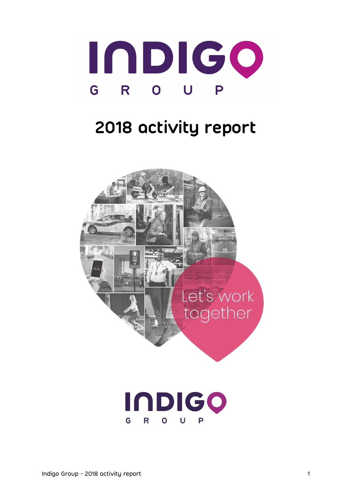

# 2018 activity report



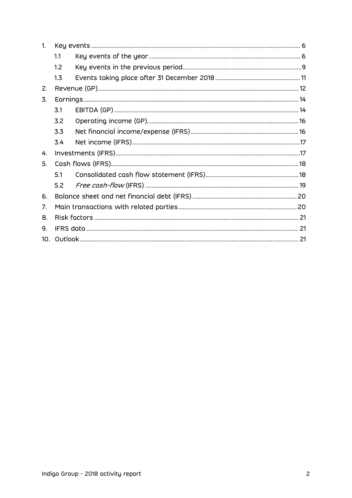| 1.  |     |  |
|-----|-----|--|
|     | 1.1 |  |
|     | 1.2 |  |
|     | 1.3 |  |
| 2.  |     |  |
| 3.  |     |  |
|     | 3.1 |  |
|     | 3.2 |  |
|     | 3.3 |  |
|     | 3.4 |  |
| 4.  |     |  |
| 5.  |     |  |
|     | 5.1 |  |
|     | 5.2 |  |
| 6.  |     |  |
| 7.  |     |  |
| 8.  |     |  |
| 9.  |     |  |
| 10. |     |  |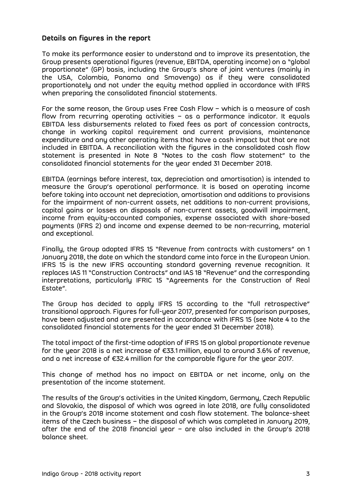#### Details on figures in the report

To make its performance easier to understand and to improve its presentation, the Group presents operational figures (revenue, EBITDA, operating income) on a "global proportionate" (GP) basis, including the Group's share of joint ventures (mainly in the USA, Colombia, Panama and Smovengo) as if they were consolidated proportionately and not under the equity method applied in accordance with IFRS when preparing the consolidated financial statements.

For the same reason, the Group uses Free Cash Flow – which is a measure of cash flow from recurring operating activities – as a performance indicator. It equals EBITDA less disbursements related to fixed fees as part of concession contracts, change in working capital requirement and current provisions, maintenance expenditure and any other operating items that have a cash impact but that are not included in EBITDA. A reconciliation with the figures in the consolidated cash flow statement is presented in Note 8 "Notes to the cash flow statement" to the consolidated financial statements for the year ended 31 December 2018.

EBITDA (earnings before interest, tax, depreciation and amortisation) is intended to measure the Group's operational performance. It is based on operating income before taking into account net depreciation, amortisation and additions to provisions for the impairment of non-current assets, net additions to non-current provisions, capital gains or losses on disposals of non-current assets, goodwill impairment, income from equity-accounted companies, expense associated with share-based payments (IFRS 2) and income and expense deemed to be non-recurring, material and exceptional.

Finally, the Group adopted IFRS 15 "Revenue from contracts with customers" on 1 January 2018, the date on which the standard came into force in the European Union. IFRS 15 is the new IFRS accounting standard governing revenue recognition. It replaces IAS 11 "Construction Contracts" and IAS 18 "Revenue" and the corresponding interpretations, particularly IFRIC 15 "Agreements for the Construction of Real Estate".

The Group has decided to apply IFRS 15 according to the "full retrospective" transitional approach. Figures for full-year 2017, presented for comparison purposes, have been adjusted and are presented in accordance with IFRS 15 (see Note 4 to the consolidated financial statements for the year ended 31 December 2018).

The total impact of the first-time adoption of IFRS 15 on global proportionate revenue for the year 2018 is a net increase of €33.1 million, equal to around 3.6% of revenue, and a net increase of €32.4 million for the comparable figure for the year 2017.

This change of method has no impact on EBITDA or net income, only on the presentation of the income statement.

The results of the Group's activities in the United Kingdom, Germany, Czech Republic and Slovakia, the disposal of which was agreed in late 2018, are fully consolidated in the Group's 2018 income statement and cash flow statement. The balance-sheet items of the Czech business – the disposal of which was completed in January 2019, after the end of the 2018 financial year – are also included in the Group's 2018 balance sheet.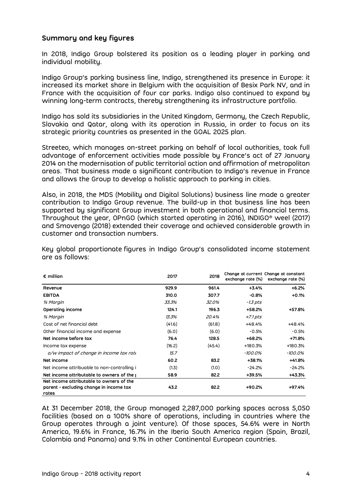### Summary and key figures

In 2018, Indigo Group bolstered its position as a leading player in parking and individual mobility.

Indigo Group's parking business line, Indigo, strengthened its presence in Europe: it increased its market share in Belgium with the acquisition of Besix Park NV, and in France with the acquisition of four car parks. Indigo also continued to expand by winning long-term contracts, thereby strengthening its infrastructure portfolio.

Indigo has sold its subsidiaries in the United Kingdom, Germany, the Czech Republic, Slovakia and Qatar, along with its operation in Russia, in order to focus on its strategic priority countries as presented in the GOAL 2025 plan.

Streeteo, which manages on-street parking on behalf of local authorities, took full advantage of enforcement activities made possible by France's act of 27 January 2014 on the modernisation of public territorial action and affirmation of metropolitan areas. That business made a significant contribution to Indigo's revenue in France and allows the Group to develop a holistic approach to parking in cities.

Also, in 2018, the MDS (Mobility and Digital Solutions) business line made a greater contribution to Indigo Group revenue. The build-up in that business line has been supported by significant Group investment in both operational and financial terms. Throughout the year, OPnGO (which started operating in 2016), INDIGO® weel (2017) and Smovengo (2018) extended their coverage and achieved considerable growth in customer and transaction numbers.

Key global proportionate figures in Indigo Group's consolidated income statement are as follows:

| $\epsilon$ million                                                                           | 2017   | 2018   | exchange rate (%) | Change at current Change at constant<br>exchange rate (%) |
|----------------------------------------------------------------------------------------------|--------|--------|-------------------|-----------------------------------------------------------|
| Revenue                                                                                      | 929.9  | 961.4  | $+3.4%$           | $+6.2%$                                                   |
| <b>EBITDA</b>                                                                                | 310.0  | 307.7  | $-0.8%$           | $+0.1%$                                                   |
| % Margin                                                                                     | 33.3%  | 32.0%  | <i>-1.3 pts</i>   |                                                           |
| Operating income                                                                             | 124.1  | 196.3  | +58.2%            | +57.8%                                                    |
| % Margin                                                                                     | 13.3%  | 20.4%  | $+7.1$ pts        |                                                           |
| Cost of net financial debt                                                                   | (41.6) | (61.8) | +48.4%            | +48.4%                                                    |
| Other financial income and expense                                                           | (6.0)  | (6.0)  | $-0.5%$           | $-0.5%$                                                   |
| Net income before tox                                                                        | 76.4   | 128.5  | $+68.2%$          | +71.8%                                                    |
| Income tax expense                                                                           | (16.2) | (45.4) | $+180.3%$         | +180.3%                                                   |
| o/w impact of change in income tax rate                                                      | 15.7   |        | -100.0%           | -100.0%                                                   |
| Net income                                                                                   | 60.2   | 83.2   | $+38.1%$          | +41.8%                                                    |
| Net income attribuable to non-controlling i                                                  | (1.3)  | (1.0)  | $-24.2%$          | $-24.2%$                                                  |
| Net income attributable to owners of the                                                     | 58.9   | 82.2   | +39.5%            | +43.3%                                                    |
| Net income attributable to owners of the<br>parent - excluding change in income tax<br>rates | 43.2   | 82.2   | +90.2%            | +97.4%                                                    |

At 31 December 2018, the Group managed 2,287,000 parking spaces across 5,050 facilities (based on a 100% share of operations, including in countries where the Group operates through a joint venture). Of those spaces, 54.6% were in North America, 19.6% in France, 16.7% in the Iberia South America region (Spain, Brazil, Colombia and Panama) and 9.1% in other Continental European countries.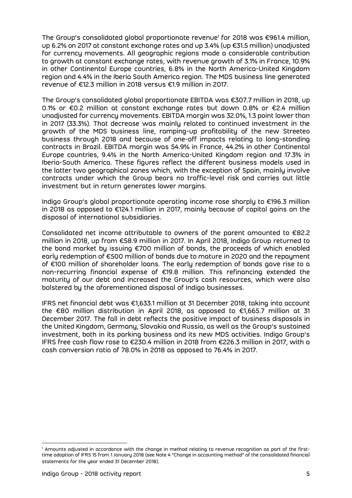The Group's consolidated global proportionate revenue<sup>1</sup> for 2018 was €961.4 million, up 6.2% on 2017 at constant exchange rates and up 3.4% (up €31.5 million) unadjusted for currency movements. All geographic regions made a considerable contribution to growth at constant exchange rates, with revenue growth of 3.1% in France, 10.9% in other Continental Europe countries, 6.8% in the North America-United Kingdom region and 4.4% in the Iberia South America region. The MDS business line generated revenue of €12.3 million in 2018 versus €1.9 million in 2017.

The Group's consolidated global proportionate EBITDA was €307.7 million in 2018, up 0.1% or €0.2 million at constant exchange rates but down 0.8% or €2.4 million unadjusted for currency movements. EBITDA margin was 32.0%, 1.3 point lower than in 2017 (33.3%). That decrease was mainly related to continued investment in the growth of the MDS business line, ramping-up profitability of the new Streeteo business through 2018 and because of one-off impacts relating to long-standing contracts in Brazil. EBITDA margin was 54.9% in France, 44.2% in other Continental Europe countries, 9.4% in the North America-United Kingdom region and 17.3% in Iberia-South America. These figures reflect the different business models used in the latter two geographical zones which, with the exception of Spain, mainly involve contracts under which the Group bears no traffic-level risk and carries out little investment but in return generates lower margins.

Indigo Group's global proportionate operating income rose sharply to €196.3 million in 2018 as opposed to €124.1 million in 2017, mainly because of capital gains on the disposal of international subsidiaries.

Consolidated net income attributable to owners of the parent amounted to €82.2 million in 2018, up from €58.9 million in 2017. In April 2018, Indigo Group returned to the bond market by issuing €700 million of bonds, the proceeds of which enabled early redemption of €500 million of bonds due to mature in 2020 and the repayment of €100 million of shareholder loans. The early redemption of bonds gave rise to a non-recurring financial expense of €19.8 million. This refinancing extended the maturity of our debt and increased the Group's cash resources, which were also bolstered by the aforementioned disposal of Indigo businesses.

IFRS net financial debt was €1,633.1 million at 31 December 2018, taking into account the €80 million distribution in April 2018, as opposed to €1,665.7 million at 31 December 2017. The fall in debt reflects the positive impact of business disposals in the United Kingdom, Germany, Slovakia and Russia, as well as the Group's sustained investment, both in its parking business and its new MDS activities. Indigo Group's IFRS free cash flow rose to €230.4 million in 2018 from €226.3 million in 2017, with a cash conversion ratio of 78.0% in 2018 as opposed to 76.4% in 2017.

 $\overline{a}$ 

<sup>1</sup> Amounts adjusted in accordance with the change in method relating to revenue recognition as part of the firsttime adoption of IFRS 15 from 1 January 2018 (see Note 4 "Change in accounting method" of the consolidated financial statements for the year ended 31 December 2018).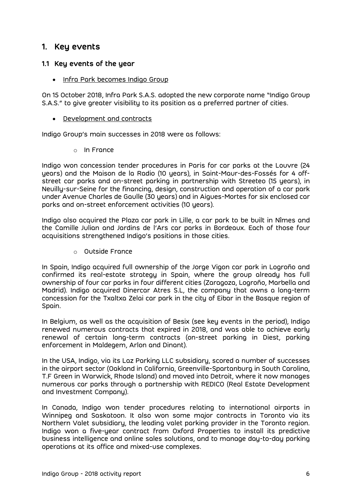## 1. Key events

#### 1.1 Key events of the year

• Infra Park becomes Indigo Group

On 15 October 2018, Infra Park S.A.S. adopted the new corporate name "Indigo Group S.A.S." to give greater visibility to its position as a preferred partner of cities.

Development and contracts

Indigo Group's main successes in 2018 were as follows:

o In France

Indigo won concession tender procedures in Paris for car parks at the Louvre (24 years) and the Maison de la Radio (10 years), in Saint-Maur-des-Fossés for 4 offstreet car parks and on-street parking in partnership with Streeteo (15 years), in Neuilly-sur-Seine for the financing, design, construction and operation of a car park under Avenue Charles de Gaulle (30 years) and in Aigues-Mortes for six enclosed car parks and on-street enforcement activities (10 years).

Indigo also acquired the Plaza car park in Lille, a car park to be built in Nîmes and the Camille Julian and Jardins de l'Ars car parks in Bordeaux. Each of those four acquisitions strengthened Indigo's positions in those cities.

o Outside France

In Spain, Indigo acquired full ownership of the Jorge Vigon car park in Logroño and confirmed its real-estate strategy in Spain, where the group already has full ownership of four car parks in four different cities (Zaragoza, Logroño, Marbella and Madrid). Indigo acquired Dinercar Atres S.L, the company that owns a long-term concession for the Txaltxa Zelai car park in the city of Eibar in the Basque region of Spain.

In Belgium, as well as the acquisition of Besix (see key events in the period), Indigo renewed numerous contracts that expired in 2018, and was able to achieve early renewal of certain long-term contracts (on-street parking in Diest, parking enforcement in Maldegem, Arlon and Dinant).

In the USA, Indigo, via its Laz Parking LLC subsidiary, scored a number of successes in the airport sector (Oakland in California, Greenville-Spartanburg in South Carolina, T.F Green in Warwick, Rhode Island) and moved into Detroit, where it now manages numerous car parks through a partnership with REDICO (Real Estate Development and Investment Company).

In Canada, Indigo won tender procedures relating to international airports in Winnipeg and Saskatoon. It also won some major contracts in Toronto via its Northern Valet subsidiary, the leading valet parking provider in the Toronto region. Indigo won a five-year contract from Oxford Properties to install its predictive business intelligence and online sales solutions, and to manage day-to-day parking operations at its office and mixed-use complexes.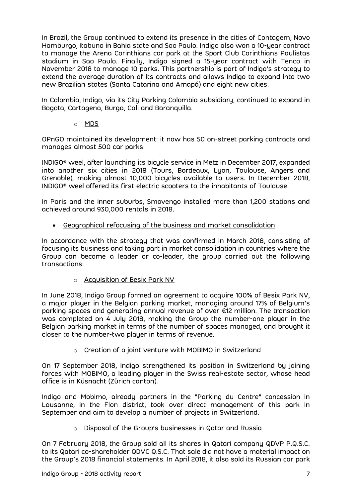In Brazil, the Group continued to extend its presence in the cities of Contagem, Novo Hamburgo, Itabuna in Bahia state and Sao Paulo. Indigo also won a 10-year contract to manage the Arena Corinthians car park at the Sport Club Corinthians Paulistas stadium in Sao Paulo. Finally, Indigo signed a 15-year contract with Tenco in November 2018 to manage 10 parks. This partnership is part of Indigo's strategy to extend the average duration of its contracts and allows Indigo to expand into two new Brazilian states (Santa Catarina and Amapá) and eight new cities.

In Colombia, Indigo, via its City Parking Colombia subsidiary, continued to expand in Bogota, Cartagena, Burga, Cali and Baranquilla.

o MDS

OPnGO maintained its development: it now has 50 on-street parking contracts and manages almost 500 car parks.

INDIGO® weel, after launching its bicycle service in Metz in December 2017, expanded into another six cities in 2018 (Tours, Bordeaux, Lyon, Toulouse, Angers and Grenoble), making almost 10,000 bicycles available to users. In December 2018, INDIGO® weel offered its first electric scooters to the inhabitants of Toulouse.

In Paris and the inner suburbs, Smovengo installed more than 1,200 stations and achieved around 930,000 rentals in 2018.

Geographical refocusing of the business and market consolidation

In accordance with the strategy that was confirmed in March 2018, consisting of focusing its business and taking part in market consolidation in countries where the Group can become a leader or co-leader, the group carried out the following transactions:

o Acquisition of Besix Park NV

In June 2018, Indigo Group formed an agreement to acquire 100% of Besix Park NV, a major player in the Belgian parking market, managing around 17% of Belgium's parking spaces and generating annual revenue of over €12 million. The transaction was completed on 4 July 2018, making the Group the number-one player in the Belgian parking market in terms of the number of spaces managed, and brought it closer to the number-two player in terms of revenue.

o Creation of a joint venture with MOBIMO in Switzerland

On 17 September 2018, Indigo strengthened its position in Switzerland by joining forces with MOBIMO, a leading player in the Swiss real-estate sector, whose head office is in Küsnacht (Zürich canton).

Indigo and Mobimo, already partners in the "Parking du Centre" concession in Lausanne, in the Flon district, took over direct management of this park in September and aim to develop a number of projects in Switzerland.

#### o Disposal of the Group's businesses in Qatar and Russia

On 7 February 2018, the Group sold all its shares in Qatari company QDVP P.Q.S.C. to its Qatari co-shareholder QDVC Q.S.C. That sale did not have a material impact on the Group's 2018 financial statements. In April 2018, it also sold its Russian car park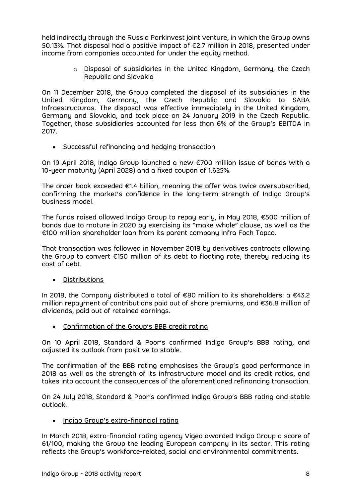held indirectly through the Russia Parkinvest joint venture, in which the Group owns 50.13%. That disposal had a positive impact of €2.7 million in 2018, presented under income from companies accounted for under the equity method.

> o Disposal of subsidiaries in the United Kingdom, Germany, the Czech Republic and Slovakia

On 11 December 2018, the Group completed the disposal of its subsidiaries in the United Kingdom, Germany, the Czech Republic and Slovakia to SABA Infraestructuras. The disposal was effective immediately in the United Kingdom, Germany and Slovakia, and took place on 24 January 2019 in the Czech Republic. Together, those subsidiaries accounted for less than 6% of the Group's EBITDA in 2017.

Successful refinancing and hedging transaction

On 19 April 2018, Indigo Group launched a new €700 million issue of bonds with a 10-year maturity (April 2028) and a fixed coupon of 1.625%.

The order book exceeded €1.4 billion, meaning the offer was twice oversubscribed, confirming the market's confidence in the long-term strength of Indigo Group's business model.

The funds raised allowed Indigo Group to repay early, in May 2018, €500 million of bonds due to mature in 2020 by exercising its "make whole" clause, as well as the €100 million shareholder loan from its parent company Infra Foch Topco.

That transaction was followed in November 2018 by derivatives contracts allowing the Group to convert €150 million of its debt to floating rate, thereby reducing its cost of debt.

Distributions

In 2018, the Company distributed a total of €80 million to its shareholders: a €43.2 million repayment of contributions paid out of share premiums, and €36.8 million of dividends, paid out of retained earnings.

Confirmation of the Group's BBB credit rating

On 10 April 2018, Standard & Poor's confirmed Indigo Group's BBB rating, and adjusted its outlook from positive to stable.

The confirmation of the BBB rating emphasises the Group's good performance in 2018 as well as the strength of its infrastructure model and its credit ratios, and takes into account the consequences of the aforementioned refinancing transaction.

On 24 July 2018, Standard & Poor's confirmed Indigo Group's BBB rating and stable outlook.

• Indigo Group's extra-financial rating

In March 2018, extra-financial rating agency Vigeo awarded Indigo Group a score of 61/100, making the Group the leading European company in its sector. This rating reflects the Group's workforce-related, social and environmental commitments.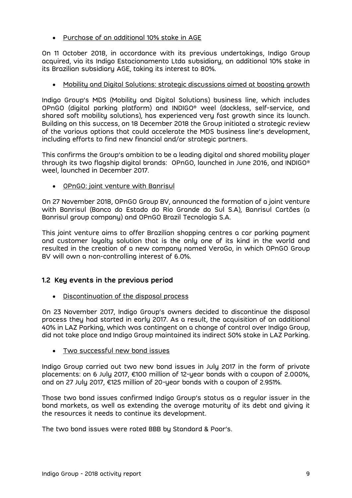Purchase of an additional 10% stake in AGE

On 11 October 2018, in accordance with its previous undertakings, Indigo Group acquired, via its Indigo Estacionamento Ltda subsidiary, an additional 10% stake in its Brazilian subsidiary AGE, taking its interest to 80%.

Mobility and Digital Solutions: strategic discussions aimed at boosting growth

Indigo Group's MDS (Mobility and Digital Solutions) business line, which includes OPnGO (digital parking platform) and INDIGO® weel (dockless, self-service, and shared soft mobility solutions), has experienced very fast growth since its launch. Building on this success, on 18 December 2018 the Group initiated a strategic review of the various options that could accelerate the MDS business line's development, including efforts to find new financial and/or strategic partners.

This confirms the Group's ambition to be a leading digital and shared mobility player through its two flagship digital brands: OPnGO, launched in June 2016, and INDIGO® weel, launched in December 2017.

OPnGO: joint venture with Banrisul

On 27 November 2018, OPnGO Group BV, announced the formation of a joint venture with Banrisul (Banco do Estado do Rio Grande do Sul S.A), Banrisul Cartões (a Banrisul group company) and OPnGO Brazil Tecnologia S.A.

This joint venture aims to offer Brazilian shopping centres a car parking payment and customer loyalty solution that is the only one of its kind in the world and resulted in the creation of a new company named VeroGo, in which OPnGO Group BV will own a non-controlling interest of 6.0%.

## 1.2 Key events in the previous period

Discontinuation of the disposal process

On 23 November 2017, Indigo Group's owners decided to discontinue the disposal process they had started in early 2017. As a result, the acquisition of an additional 40% in LAZ Parking, which was contingent on a change of control over Indigo Group, did not take place and Indigo Group maintained its indirect 50% stake in LAZ Parking.

Two successful new bond issues

Indigo Group carried out two new bond issues in July 2017 in the form of private placements: on 6 July 2017, €100 million of 12-year bonds with a coupon of 2.000%, and on 27 July 2017, €125 million of 20-year bonds with a coupon of 2.951%.

Those two bond issues confirmed Indigo Group's status as a regular issuer in the bond markets, as well as extending the average maturity of its debt and giving it the resources it needs to continue its development.

The two bond issues were rated BBB by Standard & Poor's.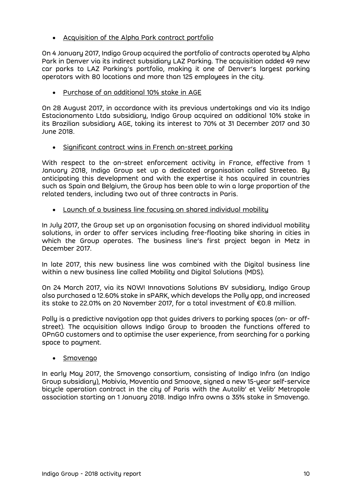Acquisition of the Alpha Park contract portfolio

On 4 January 2017, Indigo Group acquired the portfolio of contracts operated by Alpha Park in Denver via its indirect subsidiary LAZ Parking. The acquisition added 49 new car parks to LAZ Parking's portfolio, making it one of Denver's largest parking operators with 80 locations and more than 125 employees in the city.

Purchase of an additional 10% stake in AGE

On 28 August 2017, in accordance with its previous undertakings and via its Indigo Estacionamento Ltda subsidiary, Indigo Group acquired an additional 10% stake in its Brazilian subsidiary AGE, taking its interest to 70% at 31 December 2017 and 30 June 2018.

• Significant contract wins in French on-street parking

With respect to the on-street enforcement activity in France, effective from 1 January 2018, Indigo Group set up a dedicated organisation called Streeteo. By anticipating this development and with the expertise it has acquired in countries such as Spain and Belgium, the Group has been able to win a large proportion of the related tenders, including two out of three contracts in Paris.

Launch of a business line focusing on shared individual mobility

In July 2017, the Group set up an organisation focusing on shared individual mobility solutions, in order to offer services including free-floating bike sharing in cities in which the Group operates. The business line's first project began in Metz in December 2017.

In late 2017, this new business line was combined with the Digital business line within a new business line called Mobility and Digital Solutions (MDS).

On 24 March 2017, via its NOW! Innovations Solutions BV subsidiary, Indigo Group also purchased a 12.60% stake in sPARK, which develops the Polly app, and increased its stake to 22.01% on 20 November 2017, for a total investment of €0.8 million.

Polly is a predictive navigation app that guides drivers to parking spaces (on- or offstreet). The acquisition allows Indigo Group to broaden the functions offered to OPnGO customers and to optimise the user experience, from searching for a parking space to payment.

Smovengo

In early May 2017, the Smovengo consortium, consisting of Indigo Infra (an Indigo Group subsidiary), Mobivia, Moventia and Smoove, signed a new 15-year self-service bicycle operation contract in the city of Paris with the Autolib' et Velib' Metropole association starting on 1 January 2018. Indigo Infra owns a 35% stake in Smovengo.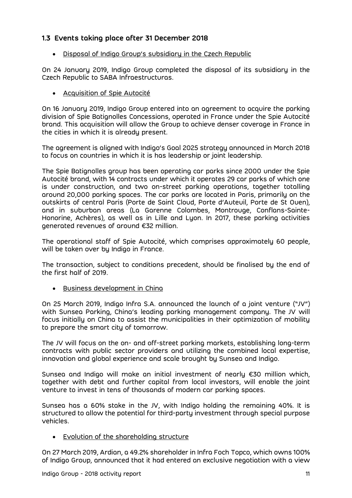## 1.3 Events taking place after 31 December 2018

Disposal of Indigo Group's subsidiary in the Czech Republic

On 24 January 2019, Indigo Group completed the disposal of its subsidiary in the Czech Republic to SABA Infraestructuras.

Acquisition of Spie Autocité

On 16 January 2019, Indigo Group entered into an agreement to acquire the parking division of Spie Batignolles Concessions, operated in France under the Spie Autocité brand. This acquisition will allow the Group to achieve denser coverage in France in the cities in which it is already present.

The agreement is aligned with Indigo's Goal 2025 strategy announced in March 2018 to focus on countries in which it is has leadership or joint leadership.

The Spie Batignolles group has been operating car parks since 2000 under the Spie Autocité brand, with 14 contracts under which it operates 29 car parks of which one is under construction, and two on-street parking operations, together totalling around 20,000 parking spaces. The car parks are located in Paris, primarily on the outskirts of central Paris (Porte de Saint Cloud, Porte d'Auteuil, Porte de St Ouen), and in suburban areas (La Garenne Colombes, Montrouge, Conflans-Sainte-Honorine, Achères), as well as in Lille and Lyon. In 2017, these parking activities generated revenues of around €32 million.

The operational staff of Spie Autocité, which comprises approximately 60 people, will be taken over by Indigo in France.

The transaction, subject to conditions precedent, should be finalised by the end of the first half of 2019.

Business development in China

On 25 March 2019, Indigo Infra S.A. announced the launch of a joint venture ("JV") with Sunsea Parking, China's leading parking management company. The JV will focus initially on China to assist the municipalities in their optimization of mobility to prepare the smart city of tomorrow.

The JV will focus on the on- and off-street parking markets, establishing long-term contracts with public sector providers and utilizing the combined local expertise, innovation and global experience and scale brought by Sunsea and Indigo.

Sunsea and Indigo will make an initial investment of nearly €30 million which, together with debt and further capital from local investors, will enable the joint venture to invest in tens of thousands of modern car parking spaces.

Sunsea has a 60% stake in the JV, with Indigo holding the remaining 40%. It is structured to allow the potential for third-party investment through special purpose vehicles.

Evolution of the shareholding structure

On 27 March 2019, Ardian, a 49.2% shareholder in Infra Foch Topco, which owns 100% of Indigo Group, announced that it had entered an exclusive negotiation with a view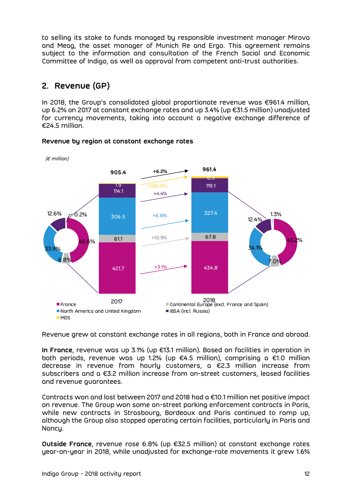to selling its stake to funds managed by responsible investment manager Mirova and Meag, the asset manager of Munich Re and Ergo. This agreement remains subject to the information and consultation of the French Social and Economic Committee of Indigo, as well as approval from competent anti-trust authorities.

# 2. Revenue (GP)

In 2018, the Group's consolidated global proportionate revenue was €961.4 million, up 6.2% on 2017 at constant exchange rates and up 3.4% (up €31.5 million) unadjusted for currency movements, taking into account a negative exchange difference of €24.5 million.



#### Revenue by region at constant exchange rates

Revenue grew at constant exchange rates in all regions, both in France and abroad.

In France, revenue was up 3.1% (up €13.1 million). Based on facilities in operation in both periods, revenue was up 1.2% (up €4.5 million), comprising a €1.0 million decrease in revenue from hourly customers, a €2.3 million increase from subscribers and a €3.2 million increase from on-street customers, leased facilities and revenue guarantees.

Contracts won and lost between 2017 and 2018 had a €10.1 million net positive impact on revenue. The Group won some on-street parking enforcement contracts in Paris, while new contracts in Strasbourg, Bordeaux and Paris continued to ramp up, although the Group also stopped operating certain facilities, particularly in Paris and Nancy.

Outside France, revenue rose 6.8% (up €32.5 million) at constant exchange rates year-on-year in 2018, while unadjusted for exchange-rate movements it grew 1.6%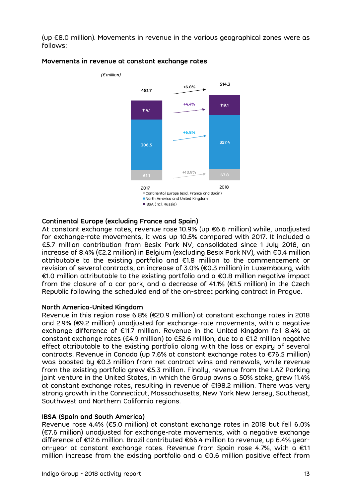(up €8.0 million). Movements in revenue in the various geographical zones were as follows:



#### Movements in revenue at constant exchange rates

#### Continental Europe (excluding France and Spain)

At constant exchange rates, revenue rose 10.9% (up €6.6 million) while, unadjusted for exchange-rate movements, it was up 10.5% compared with 2017. It included a €5.7 million contribution from Besix Park NV, consolidated since 1 July 2018, an increase of 8.4% (€2.2 million) in Belgium (excluding Besix Park NV), with €0.4 million attributable to the existing portfolio and €1.8 million to the commencement or revision of several contracts, an increase of 3.0% (€0.3 million) in Luxembourg, with €1.0 million attributable to the existing portfolio and a €0.8 million negative impact from the closure of a car park, and a decrease of 41.1% (€1.5 million) in the Czech Republic following the scheduled end of the on-street parking contract in Prague.

#### North America-United Kingdom

Revenue in this region rose 6.8% (€20.9 million) at constant exchange rates in 2018 and 2.9% (€9.2 million) unadjusted for exchange-rate movements, with a negative exchange difference of €11.7 million. Revenue in the United Kingdom fell 8.4% at constant exchange rates (€4.9 million) to €52.6 million, due to a €1.2 million negative effect attributable to the existing portfolio along with the loss or expiry of several contracts. Revenue in Canada (up 7.6% at constant exchange rates to €76.5 million) was boosted by €0.3 million from net contract wins and renewals, while revenue from the existing portfolio grew €5.3 million. Finally, revenue from the LAZ Parking joint venture in the United States, in which the Group owns a 50% stake, grew 11.4% at constant exchange rates, resulting in revenue of €198.2 million. There was very strong growth in the Connecticut, Massachusetts, New York New Jersey, Southeast, Southwest and Northern California regions.

#### IBSA (Spain and South America)

Revenue rose 4.4% (€5.0 million) at constant exchange rates in 2018 but fell 6.0% (€7.6 million) unadjusted for exchange-rate movements, with a negative exchange difference of €12.6 million. Brazil contributed €66.4 million to revenue, up 6.4% yearon-year at constant exchange rates. Revenue from Spain rose 4.7%, with a €1.1 million increase from the existing portfolio and a €0.6 million positive effect from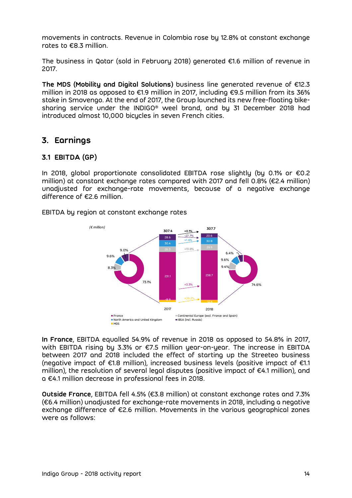movements in contracts. Revenue in Colombia rose by 12.8% at constant exchange rates to €8.3 million.

The business in Qatar (sold in February 2018) generated €1.6 million of revenue in 2017.

The MDS (Mobility and Digital Solutions) business line generated revenue of €12.3 million in 2018 as opposed to €1.9 million in 2017, including €9.5 million from its 36% stake in Smovengo. At the end of 2017, the Group launched its new free-floating bikesharing service under the INDIGO® weel brand, and by 31 December 2018 had introduced almost 10,000 bicycles in seven French cities.

# 3. Earnings

## 3.1 EBITDA (GP)

In 2018, global proportionate consolidated EBITDA rose slightly (by 0.1% or €0.2 million) at constant exchange rates compared with 2017 and fell 0.8% (€2.4 million) unadjusted for exchange-rate movements, because of a negative exchange difference of €2.6 million.

EBITDA by region at constant exchange rates



In France, EBITDA equalled 54.9% of revenue in 2018 as opposed to 54.8% in 2017, with EBITDA rising by 3.3% or €7.5 million year-on-year. The increase in EBITDA between 2017 and 2018 included the effect of starting up the Streeteo business (negative impact of €1.8 million), increased business levels (positive impact of €1.1 million), the resolution of several legal disputes (positive impact of €4.1 million), and a €4.1 million decrease in professional fees in 2018.

Outside France, EBITDA fell 4.5% (€3.8 million) at constant exchange rates and 7.3% (€6.4 million) unadjusted for exchange-rate movements in 2018, including a negative exchange difference of €2.6 million. Movements in the various geographical zones were as follows: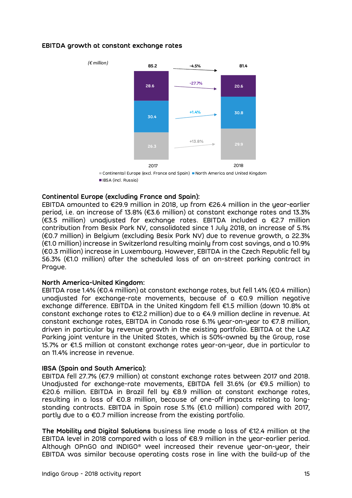#### EBITDA growth at constant exchange rates



Continental Europe (excl. France and Spain) North America and United Kingdom IBSA (incl. Russia)

#### Continental Europe (excluding France and Spain):

EBITDA amounted to €29.9 million in 2018, up from €26.4 million in the year-earlier period, i.e. an increase of 13.8% (€3.6 million) at constant exchange rates and 13.3% (€3.5 million) unadjusted for exchange rates. EBITDA included a €2.7 million contribution from Besix Park NV, consolidated since 1 July 2018, an increase of 5.1% (€0.7 million) in Belgium (excluding Besix Park NV) due to revenue growth, a 22.3% (€1.0 million) increase in Switzerland resulting mainly from cost savings, and a 10.9% (€0.3 million) increase in Luxembourg. However, EBITDA in the Czech Republic fell by 56.3% (€1.0 million) after the scheduled loss of an on-street parking contract in Prague.

#### North America-United Kingdom:

EBITDA rose 1.4% (€0.4 million) at constant exchange rates, but fell 1.4% (€0.4 million) unadjusted for exchange-rate movements, because of a €0.9 million negative exchange difference. EBITDA in the United Kingdom fell €1.5 million (down 10.8% at constant exchange rates to €12.2 million) due to a €4.9 million decline in revenue. At constant exchange rates, EBITDA in Canada rose 6.1% year-on-year to  $E$ 7.8 million, driven in particular by revenue growth in the existing portfolio. EBITDA at the LAZ Parking joint venture in the United States, which is 50%-owned by the Group, rose 15.7% or €1.5 million at constant exchange rates year-on-year, due in particular to an 11.4% increase in revenue.

#### IBSA (Spain and South America):

EBITDA fell 27.7% (€7.9 million) at constant exchange rates between 2017 and 2018. Unadjusted for exchange-rate movements, EBITDA fell 31.6% (or €9.5 million) to €20.6 million. EBITDA in Brazil fell by €8.9 million at constant exchange rates, resulting in a loss of €0.8 million, because of one-off impacts relating to longstanding contracts. EBITDA in Spain rose 5.1% (€1.0 million) compared with 2017, partly due to a €0.7 million increase from the existing portfolio.

The Mobility and Digital Solutions business line made a loss of €12.4 million at the EBITDA level in 2018 compared with a loss of €8.9 million in the year-earlier period. Although OPnGO and INDIGO® weel increased their revenue year-on-year, their EBITDA was similar because operating costs rose in line with the build-up of the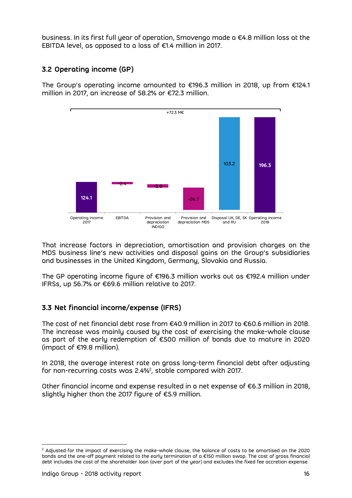business. In its first full year of operation, Smovengo made a €4.8 million loss at the EBITDA level, as opposed to a loss of €1.4 million in 2017.

## 3.2 Operating income (GP)

The Group's operating income amounted to €196.3 million in 2018, up from €124.1 million in 2017, an increase of 58.2% or €72.3 million.



That increase factors in depreciation, amortisation and provision charges on the MDS business line's new activities and disposal gains on the Group's subsidiaries and businesses in the United Kingdom, Germany, Slovakia and Russia.

The GP operating income figure of €196.3 million works out as €192.4 million under IFRSs, up 56.7% or €69.6 million relative to 2017.

## 3.3 Net financial income/expense (IFRS)

The cost of net financial debt rose from €40.9 million in 2017 to €60.6 million in 2018. The increase was mainly caused by the cost of exercising the make-whole clause as part of the early redemption of €500 million of bonds due to mature in 2020 (impact of €19.8 million).

In 2018, the average interest rate on gross long-term financial debt after adjusting for non-recurring costs was 2.4%<sup>2</sup>, stable compared with 2017.

Other financial income and expense resulted in a net expense of  $\epsilon$ 6.3 million in 2018, slightly higher than the 2017 figure of €5.9 million.

<sup>-</sup><sup>2</sup> Adjusted for the impact of exercising the make-whole clause, the balance of costs to be amortised on the 2020 bonds and the one-off payment related to the early termination of a €150 million swap. The cost of gross financial debt includes the cost of the shareholder loan (over part of the year) and excludes the fixed fee accretion expense.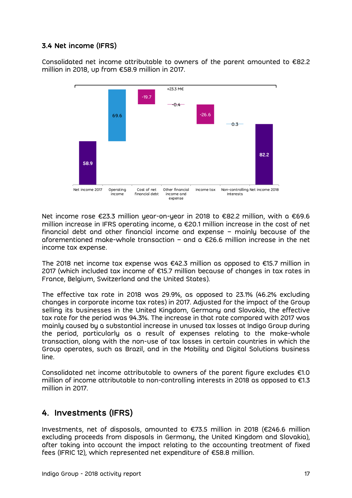## 3.4 Net income (IFRS)

Consolidated net income attributable to owners of the parent amounted to €82.2 million in 2018, up from €58.9 million in 2017.



Net income rose €23.3 million year-on-year in 2018 to €82.2 million, with a €69.6 million increase in IFRS operating income, a €20.1 million increase in the cost of net financial debt and other financial income and expense – mainly because of the aforementioned make-whole transaction – and a  $\epsilon$ 26.6 million increase in the net income tax expense.

The 2018 net income tax expense was €42.3 million as opposed to €15.7 million in 2017 (which included tax income of €15.7 million because of changes in tax rates in France, Belgium, Switzerland and the United States).

The effective tax rate in 2018 was 29.9%, as opposed to 23.1% (46.2% excluding changes in corporate income tax rates) in 2017. Adjusted for the impact of the Group selling its businesses in the United Kingdom, Germany and Slovakia, the effective tax rate for the period was 94.3%. The increase in that rate compared with 2017 was mainly caused by a substantial increase in unused tax losses at Indigo Group during the period, particularly as a result of expenses relating to the make-whole transaction, along with the non-use of tax losses in certain countries in which the Group operates, such as Brazil, and in the Mobility and Digital Solutions business line.

Consolidated net income attributable to owners of the parent figure excludes €1.0 million of income attributable to non-controlling interests in 2018 as opposed to €1.3 million in 2017.

## 4. Investments (IFRS)

Investments, net of disposals, amounted to €73.5 million in 2018 (€246.6 million excluding proceeds from disposals in Germany, the United Kingdom and Slovakia), after taking into account the impact relating to the accounting treatment of fixed fees (IFRIC 12), which represented net expenditure of €58.8 million.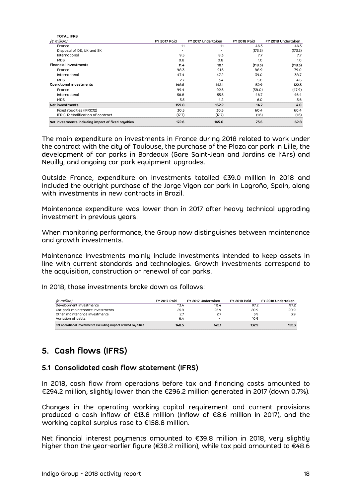| <b>TOTAL IFRS</b>                                   |                          |                          |                     |                    |
|-----------------------------------------------------|--------------------------|--------------------------|---------------------|--------------------|
| $(\epsilon$ million)                                | <b>FY 2017 Paid</b>      | FY 2017 Undertaken       | <b>FY 2018 Paid</b> | FY 2018 Undertaken |
| France                                              | 1.1                      | 1.1                      | 46.3                | 46.3               |
| Disposal of DE, UK and SK                           | $\overline{\phantom{a}}$ | $\overline{\phantom{a}}$ | (173.2)             | (173.2)            |
| International                                       | 9.5                      | 8.3                      | 7.7                 | 7.7                |
| <b>MDS</b>                                          | 0.8                      | 0.8                      | 1.0                 | 1.0                |
| <b>Financial investments</b>                        | 11.4                     | 10.1                     | (118.3)             | (118.3)            |
| France                                              | 98.3                     | 91.5                     | 88.9                | 79.0               |
| International                                       | 47.4                     | 47.2                     | 39.0                | 38.7               |
| <b>MDS</b>                                          | 2.7                      | 3.4                      | 5.0                 | 4.6                |
| Operational investments                             | 148.5                    | 142.1                    | 132.9               | 122.3              |
| France                                              | 99.4                     | 92.5                     | (38.0)              | (47.9)             |
| International                                       | 56.8                     | 55.5                     | 46.7                | 46.4               |
| <b>MDS</b>                                          | 3.5                      | 4.2                      | 6.0                 | 5.6                |
| Net investments                                     | 159.8                    | 152.2                    | 14.7                | 4.0                |
| Fixed royalties (IFRIC12)                           | 30.5                     | 30.5                     | 60.4                | 60.4               |
| IFRIC 12 Modification of contract                   | (17.7)                   | (17.7)                   | (1.6)               | (1.6)              |
| Net investments including impoct of fixed royalties | 172.6                    | 165.0                    | 73.5                | 62.8               |
|                                                     |                          |                          |                     |                    |

The main expenditure on investments in France during 2018 related to work under the contract with the city of Toulouse, the purchase of the Plaza car park in Lille, the development of car parks in Bordeaux (Gare Saint-Jean and Jardins de l'Ars) and Neuilly, and ongoing car park equipment upgrades.

Outside France, expenditure on investments totalled €39.0 million in 2018 and included the outright purchase of the Jorge Vigon car park in Logroño, Spain, along with investments in new contracts in Brazil.

Maintenance expenditure was lower than in 2017 after heavy technical upgrading investment in previous years.

When monitoring performance, the Group now distinguishes between maintenance and growth investments.

Maintenance investments mainly include investments intended to keep assets in line with current standards and technologies. Growth investments correspond to the acquisition, construction or renewal of car parks. (emilion)<br>
(employment investments mainly include investments intended to keep assets in<br>
with current standards and technologies. Growth investments correspond to<br>
acquisition, construction or renewal of car parks.<br>
(emi represent investments<br>
or principles the structure investments mainly include investments intended to keep assets in<br>
with current standards and technologies. Growth investments correspond to<br>
acquisition, construction or

In 2018, those investments broke down as follows:

| d growth investments.                                                                                                                                                                                          |                     |                    |                     |                    | leri monitoring performance, the Group how distinguishes between maintenance. |
|----------------------------------------------------------------------------------------------------------------------------------------------------------------------------------------------------------------|---------------------|--------------------|---------------------|--------------------|-------------------------------------------------------------------------------|
| intenance investments mainly include investments intended to keep assets in<br>with current standards and technologies. Growth investments correspond to<br>acquisition, construction or renewal of car parks. |                     |                    |                     |                    |                                                                               |
|                                                                                                                                                                                                                |                     |                    |                     |                    |                                                                               |
|                                                                                                                                                                                                                |                     |                    |                     |                    |                                                                               |
| :018, those investments broke down as follows:<br>$(E \text{ million})$                                                                                                                                        | <b>FY 2017 Paid</b> | FY 2017 Undertaken | <b>FY 2018 Paid</b> | FY 2018 Undertaken |                                                                               |
| Development investments                                                                                                                                                                                        | 113.4               | 113.4              | 97.2                | 97.2               |                                                                               |
| Car park maintenance investments                                                                                                                                                                               | 25.9                | 25.9               | 20.9                | 20.9               |                                                                               |
| Other maintenance investments                                                                                                                                                                                  | 2.7                 | 2.7                | 3.9                 | 3.9                |                                                                               |
| Variation of debts                                                                                                                                                                                             | 6.4                 |                    | 10.9                |                    |                                                                               |

# 5. Cash flows (IFRS)

#### 5.1 Consolidated cash flow statement (IFRS)

In 2018, cash flow from operations before tax and financing costs amounted to €294.2 million, slightly lower than the €296.2 million generated in 2017 (down 0.7%).

Changes in the operating working capital requirement and current provisions produced a cash inflow of €13.8 million (inflow of €8.6 million in 2017), and the working capital surplus rose to €158.8 million.

Net financial interest payments amounted to €39.8 million in 2018, very slightly higher than the year-earlier figure (€38.2 million), while tax paid amounted to €48.6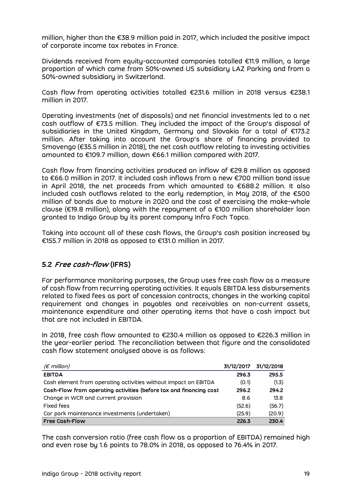million, higher than the €38.9 million paid in 2017, which included the positive impact of corporate income tax rebates in France.

Dividends received from equity-accounted companies totalled €11.9 million, a large proportion of which came from 50%-owned US subsidiary LAZ Parking and from a 50%-owned subsidiary in Switzerland.

Cash flow from operating activities totalled €231.6 million in 2018 versus €238.1 million in 2017.

Operating investments (net of disposals) and net financial investments led to a net cash outflow of €73.5 million. They included the impact of the Group's disposal of subsidiaries in the United Kingdom, Germany and Slovakia for a total of €173.2 million. After taking into account the Group's share of financing provided to Smovengo (€35.5 million in 2018), the net cash outflow relating to investing activities amounted to €109.7 million, down €66.1 million compared with 2017.

Cash flow from financing activities produced an inflow of  $\epsilon$ 29.8 million as opposed to €66.0 million in 2017. It included cash inflows from a new €700 million bond issue in April 2018, the net proceeds from which amounted to €688.2 million. It also included cash outflows related to the early redemption, in May 2018, of the €500 million of bonds due to mature in 2020 and the cost of exercising the make-whole clause (€19.8 million), along with the repayment of a €100 million shareholder loan granted to Indigo Group by its parent company Infra Foch Topco.

Taking into account all of these cash flows, the Group's cash position increased by €155.7 million in 2018 as opposed to €131.0 million in 2017.

## 5.2 Free cash-flow (IFRS)

For performance monitoring purposes, the Group uses free cash flow as a measure of cash flow from recurring operating activities. It equals EBITDA less disbursements related to fixed fees as part of concession contracts, changes in the working capital requirement and changes in payables and receivables on non-current assets, maintenance expenditure and other operating items that have a cash impact but that are not included in EBITDA. Frequirement on clear appearing vertical in the supervalues of the state of the state of the state of the state of the state of the state of the state of the state of the state of the state of the state of the state of th

| requirement and changes in payables and receivables on non-current assets,<br>maintenance expenditure and other operating items that have a cash impact but<br>that are not included in EBITDA.                                                     |            |            |
|-----------------------------------------------------------------------------------------------------------------------------------------------------------------------------------------------------------------------------------------------------|------------|------------|
| In 2018, free cash flow amounted to $\epsilon$ 230.4 million as opposed to $\epsilon$ 226.3 million in<br>the year-earlier period. The reconciliation between that figure and the consolidated<br>cash flow statement analysed above is as follows: |            |            |
| ( $\varepsilon$ million)                                                                                                                                                                                                                            | 31/12/2017 | 31/12/2018 |
|                                                                                                                                                                                                                                                     |            |            |
| <b>EBITDA</b>                                                                                                                                                                                                                                       | 296.3      | 295.5      |
| Cash element from operating activities without impact on EBITDA                                                                                                                                                                                     | (0.1)      | (1.3)      |
| Cash-Flow from operating activities (before tax and financing cost                                                                                                                                                                                  | 296.2      | 294.2      |
| Change in WCR and current provision                                                                                                                                                                                                                 | 8.6        | 13.8       |
| Fixed fees                                                                                                                                                                                                                                          | (52.6)     | (56.7)     |
| Car park maintenance investments (undertaken)                                                                                                                                                                                                       | (25.9)     | (20.9)     |

The cash conversion ratio (free cash flow as a proportion of EBITDA) remained high and even rose by 1.6 points to 78.0% in 2018, as opposed to 76.4% in 2017.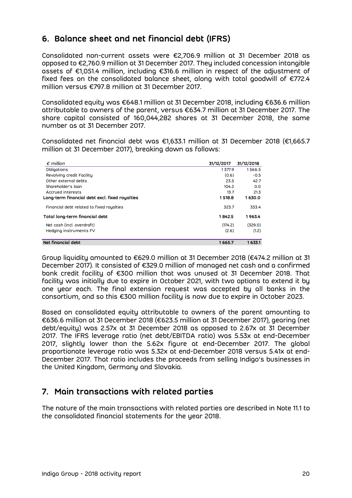# 6. Balance sheet and net financial debt (IFRS)

Consolidated non-current assets were €2,706.9 million at 31 December 2018 as opposed to €2,760.9 million at 31 December 2017. They included concession intangible assets of €1,051.4 million, including €316.6 million in respect of the adjustment of fixed fees on the consolidated balance sheet, along with total goodwill of €772.4 million versus €797.8 million at 31 December 2017.

Consolidated equity was €648.1 million at 31 December 2018, including €636.6 million attributable to owners of the parent, versus €634.7 million at 31 December 2017. The share capital consisted of 160,044,282 shares at 31 December 2018, the same number as at 31 December 2017. million versus €797.6 million at 31 December 2017.<br>
onsolidated equity was €648.1 million at 31 December 2018, including €636.6 million<br>
ttributable to owners of the parent, versus €634.7 million at 31 December 2017. The onsolidated equity was  $\epsilon$ 648.1 million at 31 December 2018, including  $\epsilon$ 636.6 million<br>ttributable to owners of the parent, versus  $\epsilon$ 634.7 million at 31 December 2017. The<br>hare capital consisted of 160,044,282 shares consolidated equity was  $\epsilon$ 648.1 million at 31 December 2018, including  $\epsilon$ 636.6 million<br>ttributable to owners of the parent, versus  $\epsilon$ 634.7 million at 31 December 2017. The<br>hare capital consisted of 160,044,282 share

| 31/12/2017 | 31/12/2018                                                         |                                                                                                                                                                                                                                                                      |
|------------|--------------------------------------------------------------------|----------------------------------------------------------------------------------------------------------------------------------------------------------------------------------------------------------------------------------------------------------------------|
| 1377.9     | 1566.5                                                             |                                                                                                                                                                                                                                                                      |
| (0.6)      | $-0.5$                                                             |                                                                                                                                                                                                                                                                      |
| 23.5       | 42.7                                                               |                                                                                                                                                                                                                                                                      |
| 104.2      | 0.0                                                                |                                                                                                                                                                                                                                                                      |
| 13.7       | 21.3                                                               |                                                                                                                                                                                                                                                                      |
| 1 518.8    | 1630.0                                                             |                                                                                                                                                                                                                                                                      |
| 323.7      | 333.4                                                              |                                                                                                                                                                                                                                                                      |
| 1842.5     | 1963.4                                                             |                                                                                                                                                                                                                                                                      |
|            |                                                                    |                                                                                                                                                                                                                                                                      |
| (2.6)      | (1.2)                                                              |                                                                                                                                                                                                                                                                      |
|            |                                                                    |                                                                                                                                                                                                                                                                      |
|            | million at 31 December 2017), breaking down as follows:<br>(174.2) | attributable to owners of the parent, versus €634.7 million at 31 December 2017. The<br>share capital consisted of 160,044,282 shares at 31 December 2018, the same<br>Consolidated net financial debt was €1,633.1 million at 31 December 2018 (€1,665.7<br>(329.0) |

Group liquidity amounted to €629.0 million at 31 December 2018 (€474.2 million at 31 December 2017). It consisted of €329.0 million of managed net cash and a confirmed bank credit facility of €300 million that was unused at 31 December 2018. That facility was initially due to expire in October 2021, with two options to extend it by one year each. The final extension request was accepted by all banks in the consortium, and so this €300 million facility is now due to expire in October 2023.

Based on consolidated equity attributable to owners of the parent amounting to €636.6 million at 31 December 2018 (€623.5 million at 31 December 2017), gearing (net debt/equity) was 2.57x at 31 December 2018 as opposed to 2.67x at 31 December 2017. The IFRS leverage ratio (net debt/EBITDA ratio) was 5.53x at end-December 2017, slightly lower than the 5.62x figure at end-December 2017. The global proportionate leverage ratio was 5.32x at end-December 2018 versus 5.41x at end-December 2017. That ratio includes the proceeds from selling Indigo's businesses in the United Kingdom, Germany and Slovakia.

# 7. Main transactions with related parties

The nature of the main transactions with related parties are described in Note 11.1 to the consolidated financial statements for the year 2018.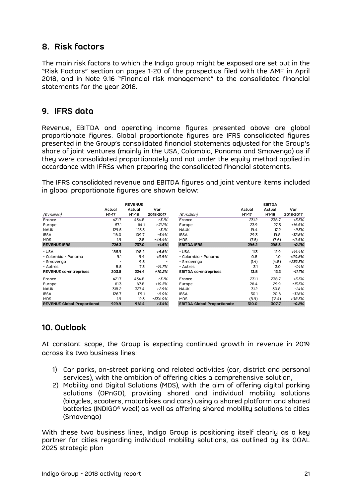# 8. Risk factors

The main risk factors to which the Indigo group might be exposed are set out in the "Risk Factors" section on pages 1-20 of the prospectus filed with the AMF in April 2018, and in Note 9.16 "Financial risk management" to the consolidated financial statements for the year 2018.

## 9. IFRS data

Revenue, EBITDA and operating income figures presented above are global proportionate figures. Global proportionate figures are IFRS consolidated figures presented in the Group's consolidated financial statements adjusted for the Group's share of joint ventures (mainly in the USA, Colombia, Panama and Smovengo) as if they were consolidated proportionately and not under the equity method applied in accordance with IFRSs when preparing the consolidated financial statements. perating income rigures presented doove are giodal<br>boal proportionate figures are IFRS consolidated figures<br>consolidated financial statements adjusted for the Group's<br>acinly in the USA, Colombia, Panama and Smovengo) as i es. Global proportionate figures are IFRS consolidated figures<br>
oup's consolidated financial statements adjusted for the Group's<br>
res (mainly in the USA, Colombia, Panama and Smovengo) as if<br>
ated proportionately and not u Consumer the Consumer Service Consumer Consumer Consumer Service Consumer Schements adjusted for the Group's<br>Share of joint ventures (mainly in the USA, Colombia, Panama and Smovengo) as if<br>they were consolidated proporti

| presented in the Group's consolidated financial statements adjusted for the Group's<br>share of joint ventures (mainly in the USA, Colombia, Panama and Smovengo) as if<br>they were consolidated proportionately and not under the equity method applied in<br>accordance with IFRSs when preparing the consolidated financial statements.<br>The IFRS consolidated revenue and EBITDA figures and joint venture items included |                              |                          |                  |                                    |                 |                         |           |
|----------------------------------------------------------------------------------------------------------------------------------------------------------------------------------------------------------------------------------------------------------------------------------------------------------------------------------------------------------------------------------------------------------------------------------|------------------------------|--------------------------|------------------|------------------------------------|-----------------|-------------------------|-----------|
|                                                                                                                                                                                                                                                                                                                                                                                                                                  |                              |                          |                  |                                    |                 |                         |           |
| in global proportionate figures are shown below:                                                                                                                                                                                                                                                                                                                                                                                 |                              |                          |                  |                                    |                 |                         |           |
|                                                                                                                                                                                                                                                                                                                                                                                                                                  |                              |                          |                  |                                    |                 |                         |           |
|                                                                                                                                                                                                                                                                                                                                                                                                                                  |                              | <b>REVENUE</b><br>Actual |                  |                                    |                 | <b>EBITDA</b><br>Actual | Var       |
| $(E \text{ million})$                                                                                                                                                                                                                                                                                                                                                                                                            | Actual<br>H <sub>1</sub> -17 | H1-18                    | Var<br>2018-2017 | $(E \text{ million})$              | Actual<br>H1-17 | H1-18                   | 2018-2017 |
| France                                                                                                                                                                                                                                                                                                                                                                                                                           | 421.7                        | 434.8                    | $+3.1%$          | France                             | 231.2           | 238.7                   | $+3.3%$   |
| Europe                                                                                                                                                                                                                                                                                                                                                                                                                           | 57.1                         | 64.1                     | $+12.2%$         | Europe                             | 23.9            | 27.5                    | $+14.8%$  |
| <b>NAUK</b>                                                                                                                                                                                                                                                                                                                                                                                                                      | 129.5                        | 125.5                    | $-3.1%$          | <b>NAUK</b>                        | 19.4            | 17.2                    | $-11.3%$  |
| <b>IBSA</b>                                                                                                                                                                                                                                                                                                                                                                                                                      | 116.0                        | 109.7                    | $-5.4%$          | <b>IBSA</b>                        | 29.3            | 19.8                    | $-32.6%$  |
| <b>MDS</b>                                                                                                                                                                                                                                                                                                                                                                                                                       | 1.9                          | 2.8                      | +46.4%           | <b>MDS</b>                         | (7.5)           | (7.6)                   | $+0.8%$   |
| <b>REVENUE IFRS</b>                                                                                                                                                                                                                                                                                                                                                                                                              | 726.3                        | 737.0                    | $+1.5%$          | <b>EBITDA IFRS</b>                 | 296.2           | 295.5                   | $-0.2%$   |
| - USA                                                                                                                                                                                                                                                                                                                                                                                                                            | 185.9                        | 198.2                    | $+6.6%$          | - USA                              | 11.3            | 12.9                    | $+14.4%$  |
| - Colombia - Panama                                                                                                                                                                                                                                                                                                                                                                                                              | 9.1                          | 9.4                      | $+3.8%$          | - Colombia - Panama                | 0.8             | 1.0                     | $+20.6%$  |
| - Smovengo                                                                                                                                                                                                                                                                                                                                                                                                                       |                              | 9.5                      |                  | - Smovengo                         | (1.4)           | (4.8)                   | +239.3%   |
| - Autres                                                                                                                                                                                                                                                                                                                                                                                                                         | 8.5                          | 7.3                      | $-14.7%$         | - Autres                           | 3.1             | 3.0                     | $-1.4%$   |
| REVENUE co-entreprises                                                                                                                                                                                                                                                                                                                                                                                                           | 203.5                        | 224.4                    | $+10.2%$         | <b>EBITDA co-entreprises</b>       | 13.8            | 12.2                    | $-11.7%$  |
| France                                                                                                                                                                                                                                                                                                                                                                                                                           | 421.7                        | 434.8                    | $+3.1%$          | France                             | 231.1           | 238.7                   | $+3.3%$   |
| Europe                                                                                                                                                                                                                                                                                                                                                                                                                           | 61.3                         | 67.8                     | $+10.5%$         | Europe                             | 26.4            | 29.9                    | $+13.3%$  |
| <b>NAUK</b>                                                                                                                                                                                                                                                                                                                                                                                                                      | 318.2                        | 327.4                    | $+2.9%$          | <b>NAUK</b>                        | 31.2            | 30.8                    | $-1.4%$   |
| <b>IBSA</b>                                                                                                                                                                                                                                                                                                                                                                                                                      | 126.7                        | 119.1                    | $-6.0%$          | <b>IBSA</b>                        | 30.1            | 20.6                    | $-31.6%$  |
| <b>MDS</b>                                                                                                                                                                                                                                                                                                                                                                                                                       | 1.9                          | 12.3                     | +534.0%          | <b>MDS</b>                         | (8.9)           | (12.4)                  | +38.3%    |
|                                                                                                                                                                                                                                                                                                                                                                                                                                  | 929.9                        | 961.4                    | $+3.4%$          | <b>EBITDA Global Proportionate</b> | 310.0           | 307.7                   | $-0.8%$   |

## 10. Outlook

At constant scope, the Group is expecting continued growth in revenue in 2019 across its two business lines:

- 1) Car parks, on-street parking and related activities (car, district and personal services), with the ambition of offering cities a comprehensive solution,
- 2) Mobility and Digital Solutions (MDS), with the aim of offering digital parking solutions (OPnGO), providing shared and individual mobility solutions (bicycles, scooters, motorbikes and cars) using a shared platform and shared batteries (INDIGO® weel) as well as offering shared mobility solutions to cities (Smovengo)

With these two business lines, Indigo Group is positioning itself clearly as a key partner for cities regarding individual mobility solutions, as outlined by its GOAL 2025 strategic plan